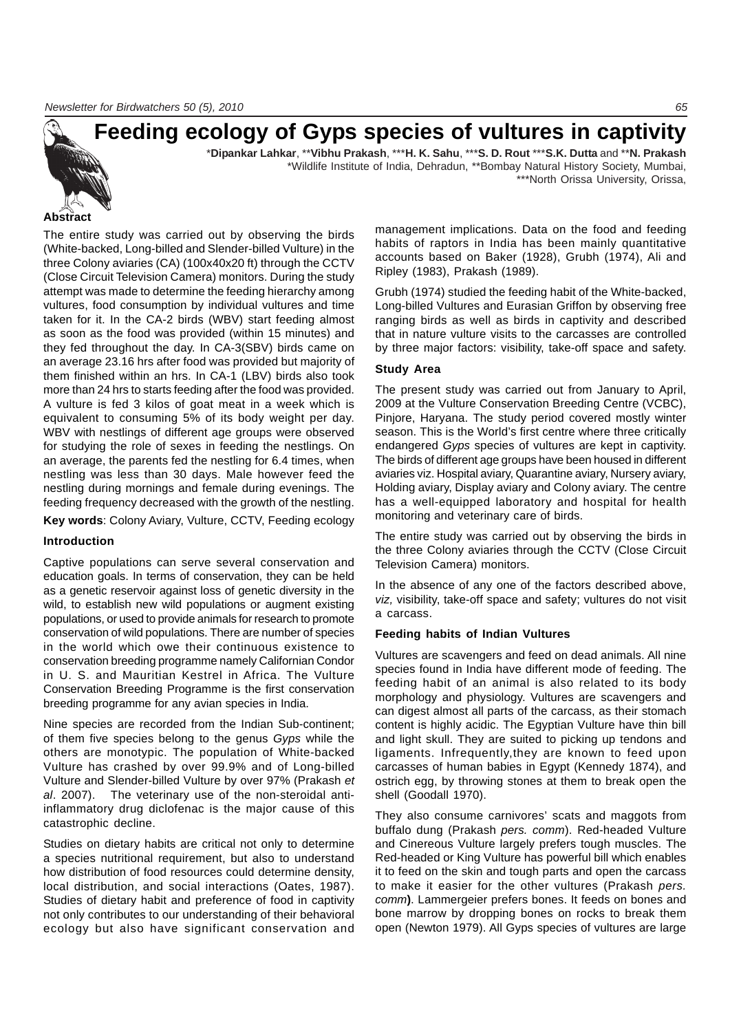# **Feeding ecology of Gyps species of vultures in captivity**

\***Dipankar Lahkar**, \*\***Vibhu Prakash**, \*\*\***H. K. Sahu**, \*\*\***S. D. Rout** \*\*\***S.K. Dutta** and \*\***N. Prakash** \*Wildlife Institute of India, Dehradun, \*\*Bombay Natural History Society, Mumbai,

\*\*\*North Orissa University, Orissa,

### **Abstract**

The entire study was carried out by observing the birds (White-backed, Long-billed and Slender-billed Vulture) in the three Colony aviaries (CA) (100x40x20 ft) through the CCTV (Close Circuit Television Camera) monitors. During the study attempt was made to determine the feeding hierarchy among vultures, food consumption by individual vultures and time taken for it. In the CA-2 birds (WBV) start feeding almost as soon as the food was provided (within 15 minutes) and they fed throughout the day. In CA-3(SBV) birds came on an average 23.16 hrs after food was provided but majority of them finished within an hrs. In CA-1 (LBV) birds also took more than 24 hrs to starts feeding after the food was provided. A vulture is fed 3 kilos of goat meat in a week which is equivalent to consuming 5% of its body weight per day. WBV with nestlings of different age groups were observed for studying the role of sexes in feeding the nestlings. On an average, the parents fed the nestling for 6.4 times, when nestling was less than 30 days. Male however feed the nestling during mornings and female during evenings. The feeding frequency decreased with the growth of the nestling.

**Key words**: Colony Aviary, Vulture, CCTV, Feeding ecology

### **Introduction**

Captive populations can serve several conservation and education goals. In terms of conservation, they can be held as a genetic reservoir against loss of genetic diversity in the wild, to establish new wild populations or augment existing populations, or used to provide animals for research to promote conservation of wild populations. There are number of species in the world which owe their continuous existence to conservation breeding programme namely Californian Condor in U. S. and Mauritian Kestrel in Africa. The Vulture Conservation Breeding Programme is the first conservation breeding programme for any avian species in India.

Nine species are recorded from the Indian Sub-continent; of them five species belong to the genus *Gyps* while the others are monotypic. The population of White-backed Vulture has crashed by over 99.9% and of Long-billed Vulture and Slender-billed Vulture by over 97% (Prakash *et al*. 2007). The veterinary use of the non-steroidal antiinflammatory drug diclofenac is the major cause of this catastrophic decline.

Studies on dietary habits are critical not only to determine a species nutritional requirement, but also to understand how distribution of food resources could determine density, local distribution, and social interactions (Oates, 1987). Studies of dietary habit and preference of food in captivity not only contributes to our understanding of their behavioral ecology but also have significant conservation and management implications. Data on the food and feeding habits of raptors in India has been mainly quantitative accounts based on Baker (1928), Grubh (1974), Ali and Ripley (1983), Prakash (1989).

Grubh (1974) studied the feeding habit of the White-backed, Long-billed Vultures and Eurasian Griffon by observing free ranging birds as well as birds in captivity and described that in nature vulture visits to the carcasses are controlled by three major factors: visibility, take-off space and safety.

### **Study Area**

The present study was carried out from January to April, 2009 at the Vulture Conservation Breeding Centre (VCBC), Pinjore, Haryana. The study period covered mostly winter season. This is the World's first centre where three critically endangered *Gyps* species of vultures are kept in captivity. The birds of different age groups have been housed in different aviaries viz. Hospital aviary, Quarantine aviary, Nursery aviary, Holding aviary, Display aviary and Colony aviary. The centre has a well-equipped laboratory and hospital for health monitoring and veterinary care of birds.

The entire study was carried out by observing the birds in the three Colony aviaries through the CCTV (Close Circuit Television Camera) monitors.

In the absence of any one of the factors described above, *viz,* visibility, take-off space and safety; vultures do not visit a carcass.

### **Feeding habits of Indian Vultures**

Vultures are scavengers and feed on dead animals. All nine species found in India have different mode of feeding. The feeding habit of an animal is also related to its body morphology and physiology. Vultures are scavengers and can digest almost all parts of the carcass, as their stomach content is highly acidic. The Egyptian Vulture have thin bill and light skull. They are suited to picking up tendons and ligaments. Infrequently,they are known to feed upon carcasses of human babies in Egypt (Kennedy 1874), and ostrich egg, by throwing stones at them to break open the shell (Goodall 1970).

They also consume carnivores' scats and maggots from buffalo dung (Prakash *pers. comm*). Red-headed Vulture and Cinereous Vulture largely prefers tough muscles. The Red-headed or King Vulture has powerful bill which enables it to feed on the skin and tough parts and open the carcass to make it easier for the other vultures (Prakash *pers. comm***)**. Lammergeier prefers bones. It feeds on bones and bone marrow by dropping bones on rocks to break them open (Newton 1979). All Gyps species of vultures are large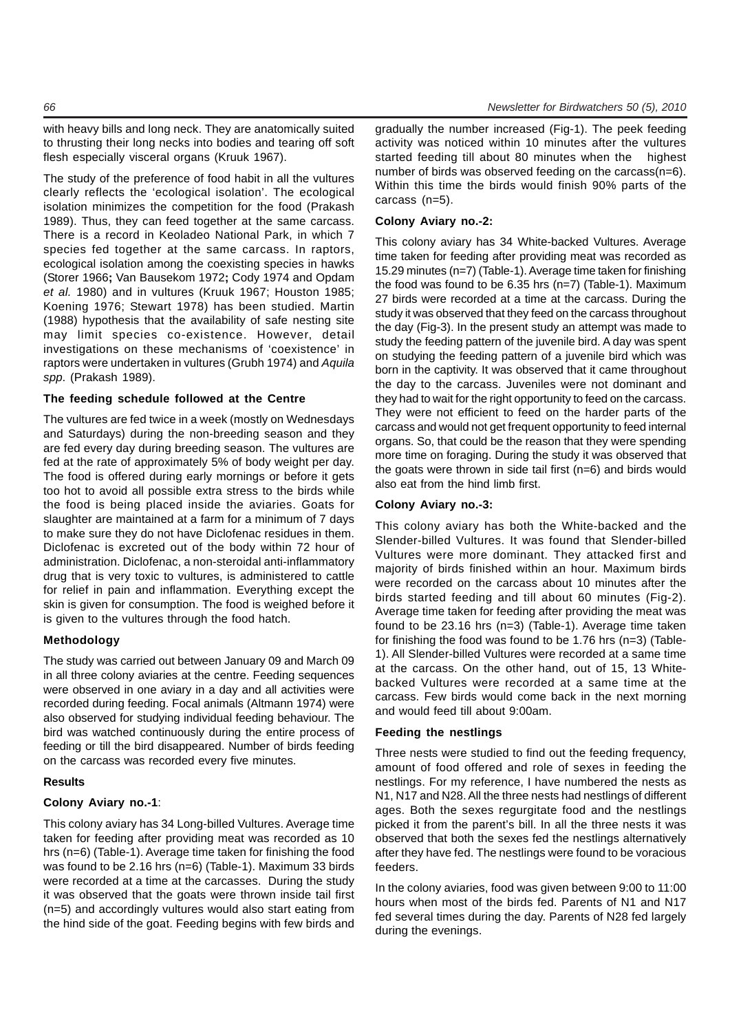with heavy bills and long neck. They are anatomically suited to thrusting their long necks into bodies and tearing off soft flesh especially visceral organs (Kruuk 1967).

The study of the preference of food habit in all the vultures clearly reflects the 'ecological isolation'. The ecological isolation minimizes the competition for the food (Prakash 1989). Thus, they can feed together at the same carcass. There is a record in Keoladeo National Park, in which 7 species fed together at the same carcass. In raptors, ecological isolation among the coexisting species in hawks (Storer 1966**;** Van Bausekom 1972**;** Cody 1974 and Opdam *et al.* 1980) and in vultures (Kruuk 1967; Houston 1985; Koening 1976; Stewart 1978) has been studied. Martin (1988) hypothesis that the availability of safe nesting site may limit species co-existence. However, detail investigations on these mechanisms of 'coexistence' in raptors were undertaken in vultures (Grubh 1974) and *Aquila spp*. (Prakash 1989).

### **The feeding schedule followed at the Centre**

The vultures are fed twice in a week (mostly on Wednesdays and Saturdays) during the non-breeding season and they are fed every day during breeding season. The vultures are fed at the rate of approximately 5% of body weight per day. The food is offered during early mornings or before it gets too hot to avoid all possible extra stress to the birds while the food is being placed inside the aviaries. Goats for slaughter are maintained at a farm for a minimum of 7 days to make sure they do not have Diclofenac residues in them. Diclofenac is excreted out of the body within 72 hour of administration. Diclofenac, a non-steroidal anti-inflammatory drug that is very toxic to vultures, is administered to cattle for relief in pain and inflammation. Everything except the skin is given for consumption. The food is weighed before it is given to the vultures through the food hatch.

### **Methodology**

The study was carried out between January 09 and March 09 in all three colony aviaries at the centre. Feeding sequences were observed in one aviary in a day and all activities were recorded during feeding. Focal animals (Altmann 1974) were also observed for studying individual feeding behaviour. The bird was watched continuously during the entire process of feeding or till the bird disappeared. Number of birds feeding on the carcass was recorded every five minutes.

### **Results**

### **Colony Aviary no.-1**:

This colony aviary has 34 Long-billed Vultures. Average time taken for feeding after providing meat was recorded as 10 hrs (n=6) (Table-1). Average time taken for finishing the food was found to be 2.16 hrs (n=6) (Table-1). Maximum 33 birds were recorded at a time at the carcasses. During the study it was observed that the goats were thrown inside tail first (n=5) and accordingly vultures would also start eating from the hind side of the goat. Feeding begins with few birds and

gradually the number increased (Fig-1). The peek feeding activity was noticed within 10 minutes after the vultures started feeding till about 80 minutes when the highest number of birds was observed feeding on the carcass(n=6). Within this time the birds would finish 90% parts of the carcass (n=5).

### **Colony Aviary no.-2:**

This colony aviary has 34 White-backed Vultures. Average time taken for feeding after providing meat was recorded as 15.29 minutes (n=7) (Table-1). Average time taken for finishing the food was found to be 6.35 hrs (n=7) (Table-1). Maximum 27 birds were recorded at a time at the carcass. During the study it was observed that they feed on the carcass throughout the day (Fig-3). In the present study an attempt was made to study the feeding pattern of the juvenile bird. A day was spent on studying the feeding pattern of a juvenile bird which was born in the captivity. It was observed that it came throughout the day to the carcass. Juveniles were not dominant and they had to wait for the right opportunity to feed on the carcass. They were not efficient to feed on the harder parts of the carcass and would not get frequent opportunity to feed internal organs. So, that could be the reason that they were spending more time on foraging. During the study it was observed that the goats were thrown in side tail first (n=6) and birds would also eat from the hind limb first.

### **Colony Aviary no.-3:**

This colony aviary has both the White-backed and the Slender-billed Vultures. It was found that Slender-billed Vultures were more dominant. They attacked first and majority of birds finished within an hour. Maximum birds were recorded on the carcass about 10 minutes after the birds started feeding and till about 60 minutes (Fig-2). Average time taken for feeding after providing the meat was found to be 23.16 hrs (n=3) (Table-1). Average time taken for finishing the food was found to be 1.76 hrs (n=3) (Table-1). All Slender-billed Vultures were recorded at a same time at the carcass. On the other hand, out of 15, 13 Whitebacked Vultures were recorded at a same time at the carcass. Few birds would come back in the next morning and would feed till about 9:00am.

### **Feeding the nestlings**

Three nests were studied to find out the feeding frequency, amount of food offered and role of sexes in feeding the nestlings. For my reference, I have numbered the nests as N1, N17 and N28. All the three nests had nestlings of different ages. Both the sexes regurgitate food and the nestlings picked it from the parent's bill. In all the three nests it was observed that both the sexes fed the nestlings alternatively after they have fed. The nestlings were found to be voracious feeders.

In the colony aviaries, food was given between 9:00 to 11:00 hours when most of the birds fed. Parents of N1 and N17 fed several times during the day. Parents of N28 fed largely during the evenings.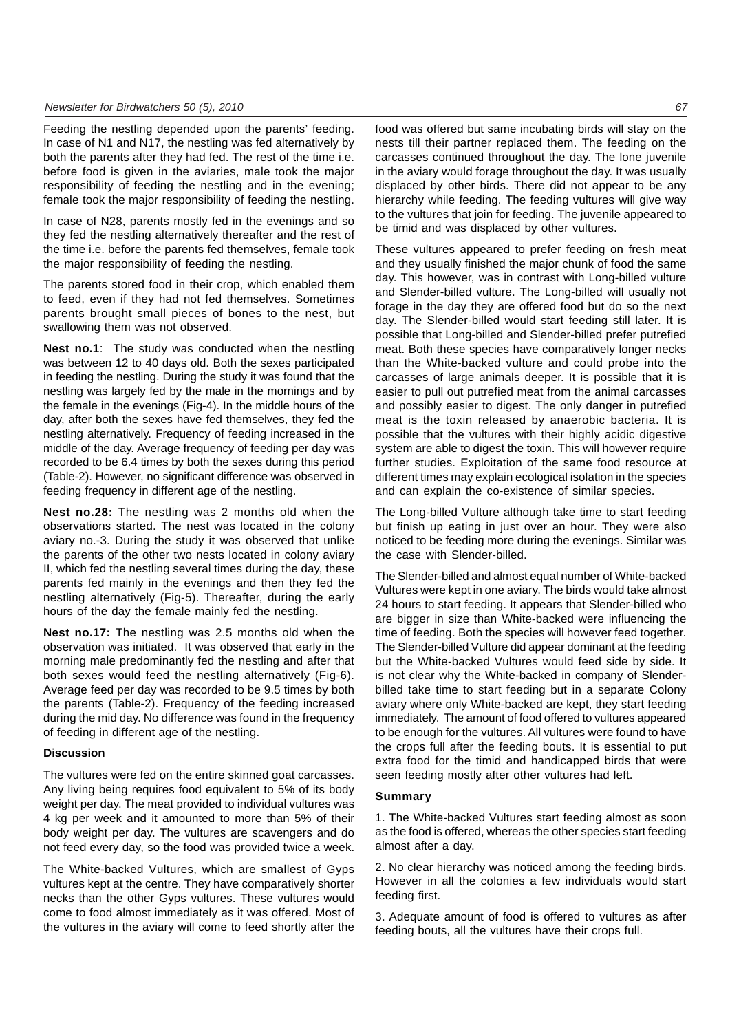Feeding the nestling depended upon the parents' feeding. In case of N1 and N17, the nestling was fed alternatively by both the parents after they had fed. The rest of the time i.e. before food is given in the aviaries, male took the major responsibility of feeding the nestling and in the evening; female took the major responsibility of feeding the nestling.

In case of N28, parents mostly fed in the evenings and so they fed the nestling alternatively thereafter and the rest of the time i.e. before the parents fed themselves, female took the major responsibility of feeding the nestling.

The parents stored food in their crop, which enabled them to feed, even if they had not fed themselves. Sometimes parents brought small pieces of bones to the nest, but swallowing them was not observed.

**Nest no.1**: The study was conducted when the nestling was between 12 to 40 days old. Both the sexes participated in feeding the nestling. During the study it was found that the nestling was largely fed by the male in the mornings and by the female in the evenings (Fig-4). In the middle hours of the day, after both the sexes have fed themselves, they fed the nestling alternatively. Frequency of feeding increased in the middle of the day. Average frequency of feeding per day was recorded to be 6.4 times by both the sexes during this period (Table-2). However, no significant difference was observed in feeding frequency in different age of the nestling.

**Nest no.28:** The nestling was 2 months old when the observations started. The nest was located in the colony aviary no.-3. During the study it was observed that unlike the parents of the other two nests located in colony aviary II, which fed the nestling several times during the day, these parents fed mainly in the evenings and then they fed the nestling alternatively (Fig-5). Thereafter, during the early hours of the day the female mainly fed the nestling.

**Nest no.17:** The nestling was 2.5 months old when the observation was initiated. It was observed that early in the morning male predominantly fed the nestling and after that both sexes would feed the nestling alternatively (Fig-6). Average feed per day was recorded to be 9.5 times by both the parents (Table-2). Frequency of the feeding increased during the mid day. No difference was found in the frequency of feeding in different age of the nestling.

### **Discussion**

The vultures were fed on the entire skinned goat carcasses. Any living being requires food equivalent to 5% of its body weight per day. The meat provided to individual vultures was 4 kg per week and it amounted to more than 5% of their body weight per day. The vultures are scavengers and do not feed every day, so the food was provided twice a week.

The White-backed Vultures, which are smallest of Gyps vultures kept at the centre. They have comparatively shorter necks than the other Gyps vultures. These vultures would come to food almost immediately as it was offered. Most of the vultures in the aviary will come to feed shortly after the food was offered but same incubating birds will stay on the nests till their partner replaced them. The feeding on the carcasses continued throughout the day. The lone juvenile in the aviary would forage throughout the day. It was usually displaced by other birds. There did not appear to be any hierarchy while feeding. The feeding vultures will give way to the vultures that join for feeding. The juvenile appeared to be timid and was displaced by other vultures.

These vultures appeared to prefer feeding on fresh meat and they usually finished the major chunk of food the same day. This however, was in contrast with Long-billed vulture and Slender-billed vulture. The Long-billed will usually not forage in the day they are offered food but do so the next day. The Slender-billed would start feeding still later. It is possible that Long-billed and Slender-billed prefer putrefied meat. Both these species have comparatively longer necks than the White-backed vulture and could probe into the carcasses of large animals deeper. It is possible that it is easier to pull out putrefied meat from the animal carcasses and possibly easier to digest. The only danger in putrefied meat is the toxin released by anaerobic bacteria. It is possible that the vultures with their highly acidic digestive system are able to digest the toxin. This will however require further studies. Exploitation of the same food resource at different times may explain ecological isolation in the species and can explain the co-existence of similar species.

The Long-billed Vulture although take time to start feeding but finish up eating in just over an hour. They were also noticed to be feeding more during the evenings. Similar was the case with Slender-billed.

The Slender-billed and almost equal number of White-backed Vultures were kept in one aviary. The birds would take almost 24 hours to start feeding. It appears that Slender-billed who are bigger in size than White-backed were influencing the time of feeding. Both the species will however feed together. The Slender-billed Vulture did appear dominant at the feeding but the White-backed Vultures would feed side by side. It is not clear why the White-backed in company of Slenderbilled take time to start feeding but in a separate Colony aviary where only White-backed are kept, they start feeding immediately. The amount of food offered to vultures appeared to be enough for the vultures. All vultures were found to have the crops full after the feeding bouts. It is essential to put extra food for the timid and handicapped birds that were seen feeding mostly after other vultures had left.

### **Summary**

1. The White-backed Vultures start feeding almost as soon as the food is offered, whereas the other species start feeding almost after a day.

2. No clear hierarchy was noticed among the feeding birds. However in all the colonies a few individuals would start feeding first.

3. Adequate amount of food is offered to vultures as after feeding bouts, all the vultures have their crops full.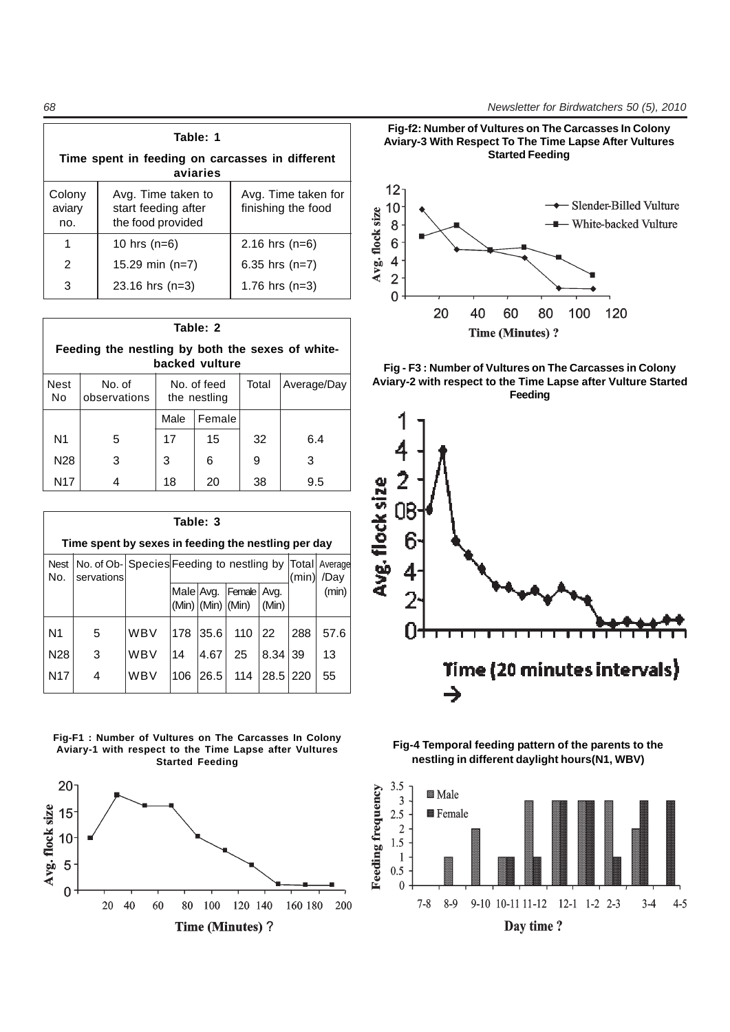**Table: 1 Time spent in feeding on carcasses in different aviaries** Colony  $\vert$  Avg. Time taken to  $\vert$  Avg. Time taken for aviary  $\parallel$  start feeding after  $\parallel$  finishing the food no. | the food provided 1 10 hrs (n=6) 2.16 hrs (n=6) 2 15.29 min (n=7) 6.35 hrs (n=7) 3 23.16 hrs (n=3) 1.76 hrs (n=3)

| Table: 2                                                           |                        |                             |        |       |             |  |
|--------------------------------------------------------------------|------------------------|-----------------------------|--------|-------|-------------|--|
| Feeding the nestling by both the sexes of white-<br>backed vulture |                        |                             |        |       |             |  |
| Nest<br>No.                                                        | No. of<br>observations | No. of feed<br>the nestling |        | Total | Average/Day |  |
|                                                                    |                        | Male                        | Female |       |             |  |
| N <sub>1</sub>                                                     | 5                      | 17                          | 15     | 32    | 6.4         |  |
| N <sub>28</sub>                                                    | 3                      | 3                           | 6      | 9     | 3           |  |
| N <sub>17</sub>                                                    | 4                      | 18                          | 20     | 38    | 9.5         |  |

|                    | Table: 3                                                      |     |           |                         |        |               |       |                 |
|--------------------|---------------------------------------------------------------|-----|-----------|-------------------------|--------|---------------|-------|-----------------|
|                    | Time spent by sexes in feeding the nestling per day           |     |           |                         |        |               |       |                 |
| <b>Nest</b><br>No. | No. of Ob- Species Feeding to nestling by Total<br>servations |     |           |                         |        |               | (min) | Average<br>/Day |
|                    |                                                               |     | Male Avg. | $(Min)$ $(Min)$ $(Min)$ | Female | Avg.<br>(Min) |       | (min)           |
| N <sub>1</sub>     | 5                                                             | WBV | 178       | 35.6                    | 110    | 22            | 288   | 57.6            |
| N <sub>28</sub>    | 3                                                             | WBV | 14        | 4.67                    | 25     | 8.34          | 39    | 13              |
| N <sub>17</sub>    | 4                                                             | WBV | 106       | 26.5                    | 114    | 28.5          | 220   | 55              |















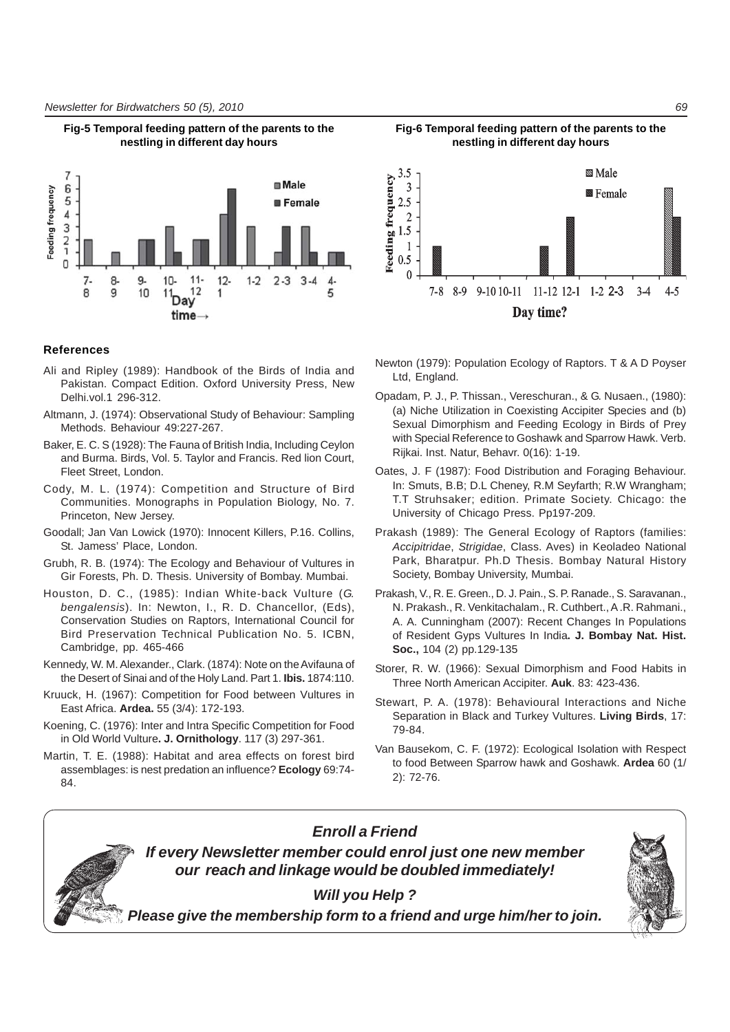

**Fig-5 Temporal feeding pattern of the parents to the**

### **References**

- Ali and Ripley (1989): Handbook of the Birds of India and Pakistan. Compact Edition. Oxford University Press, New Delhi.vol.1 296-312.
- Altmann, J. (1974): Observational Study of Behaviour: Sampling Methods. Behaviour 49:227-267.
- Baker, E. C. S (1928): The Fauna of British India, Including Ceylon and Burma. Birds, Vol. 5. Taylor and Francis. Red lion Court, Fleet Street, London.
- Cody, M. L. (1974): Competition and Structure of Bird Communities. Monographs in Population Biology, No. 7. Princeton, New Jersey.
- Goodall; Jan Van Lowick (1970): Innocent Killers, P.16. Collins, St. Jamess' Place, London.
- Grubh, R. B. (1974): The Ecology and Behaviour of Vultures in Gir Forests, Ph. D. Thesis. University of Bombay. Mumbai.
- Houston, D. C., (1985): Indian White-back Vulture (*G. bengalensis*). In: Newton, I., R. D. Chancellor, (Eds), Conservation Studies on Raptors, International Council for Bird Preservation Technical Publication No. 5. ICBN, Cambridge, pp. 465-466
- Kennedy, W. M. Alexander., Clark. (1874): Note on the Avifauna of the Desert of Sinai and of the Holy Land. Part 1. **Ibis.** 1874:110.
- Kruuck, H. (1967): Competition for Food between Vultures in East Africa. **Ardea.** 55 (3/4): 172-193.
- Koening, C. (1976): Inter and Intra Specific Competition for Food in Old World Vulture**. J. Ornithology**. 117 (3) 297-361.
- Martin, T. E. (1988): Habitat and area effects on forest bird assemblages: is nest predation an influence? **Ecology** 69:74- 84.



**Fig-6 Temporal feeding pattern of the parents to the nestling in different day hours**

- Newton (1979): Population Ecology of Raptors. T & A D Poyser Ltd, England.
- Opadam, P. J., P. Thissan., Vereschuran., & G. Nusaen., (1980): (a) Niche Utilization in Coexisting Accipiter Species and (b) Sexual Dimorphism and Feeding Ecology in Birds of Prey with Special Reference to Goshawk and Sparrow Hawk. Verb. Rijkai. Inst. Natur, Behavr. 0(16): 1-19.
- Oates, J. F (1987): Food Distribution and Foraging Behaviour. In: Smuts, B.B; D.L Cheney, R.M Seyfarth; R.W Wrangham; T.T Struhsaker; edition. Primate Society. Chicago: the University of Chicago Press. Pp197-209.
- Prakash (1989): The General Ecology of Raptors (families: *Accipitridae*, *Strigidae*, Class. Aves) in Keoladeo National Park, Bharatpur. Ph.D Thesis. Bombay Natural History Society, Bombay University, Mumbai.
- Prakash, V., R. E. Green., D. J. Pain., S. P. Ranade., S. Saravanan., N. Prakash., R. Venkitachalam., R. Cuthbert., A .R. Rahmani., A. A. Cunningham (2007): Recent Changes In Populations of Resident Gyps Vultures In India**. J. Bombay Nat. Hist. Soc.,** 104 (2) pp.129-135
- Storer, R. W. (1966): Sexual Dimorphism and Food Habits in Three North American Accipiter. **Auk**. 83: 423-436.
- Stewart, P. A. (1978): Behavioural Interactions and Niche Separation in Black and Turkey Vultures. **Living Birds**, 17: 79-84.
- Van Bausekom, C. F. (1972): Ecological Isolation with Respect to food Between Sparrow hawk and Goshawk. **Ardea** 60 (1/ 2): 72-76.



*Will you Help ?*

*Enroll a Friend If every Newsletter member could enrol just one new member our reach and linkage would be doubled immediately!*

*Please give the membership form to a friend and urge him/her to join.*

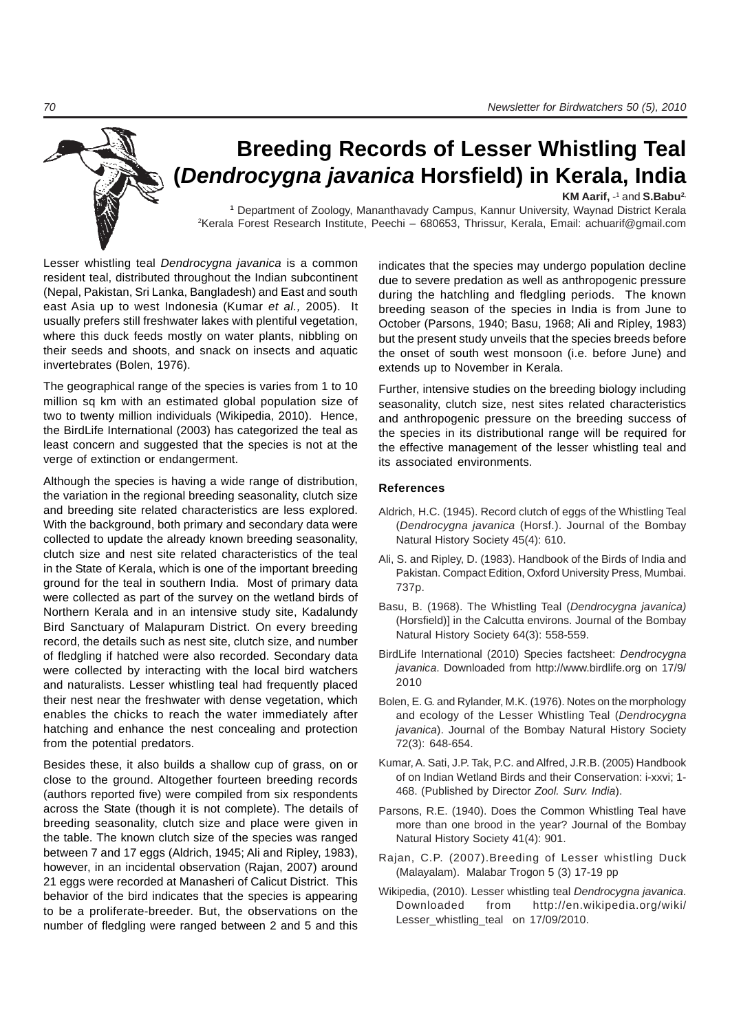# **Breeding Records of Lesser Whistling Teal (***Dendrocygna javanica* **Horsfield) in Kerala, India**

KM Aarif, -<sup>1</sup> and S.Babu<sup>2</sup> **<sup>1</sup>** Department of Zoology, Mananthavady Campus, Kannur University, Waynad District Kerala 2 Kerala Forest Research Institute, Peechi – 680653, Thrissur, Kerala, Email: achuarif@gmail.com

Lesser whistling teal *Dendrocygna javanica* is a common resident teal, distributed throughout the Indian subcontinent (Nepal, Pakistan, Sri Lanka, Bangladesh) and East and south east Asia up to west Indonesia (Kumar *et al.,* 2005). It usually prefers still freshwater lakes with plentiful vegetation, where this duck feeds mostly on water plants, nibbling on their seeds and shoots, and snack on insects and aquatic invertebrates (Bolen, 1976).

The geographical range of the species is varies from 1 to 10 million sq km with an estimated global population size of two to twenty million individuals (Wikipedia, 2010). Hence, the BirdLife International (2003) has categorized the teal as least concern and suggested that the species is not at the verge of extinction or endangerment.

Although the species is having a wide range of distribution, the variation in the regional breeding seasonality, clutch size and breeding site related characteristics are less explored. With the background, both primary and secondary data were collected to update the already known breeding seasonality, clutch size and nest site related characteristics of the teal in the State of Kerala, which is one of the important breeding ground for the teal in southern India. Most of primary data were collected as part of the survey on the wetland birds of Northern Kerala and in an intensive study site, Kadalundy Bird Sanctuary of Malapuram District. On every breeding record, the details such as nest site, clutch size, and number of fledgling if hatched were also recorded. Secondary data were collected by interacting with the local bird watchers and naturalists. Lesser whistling teal had frequently placed their nest near the freshwater with dense vegetation, which enables the chicks to reach the water immediately after hatching and enhance the nest concealing and protection from the potential predators.

Besides these, it also builds a shallow cup of grass, on or close to the ground. Altogether fourteen breeding records (authors reported five) were compiled from six respondents across the State (though it is not complete). The details of breeding seasonality, clutch size and place were given in the table. The known clutch size of the species was ranged between 7 and 17 eggs (Aldrich, 1945; Ali and Ripley, 1983), however, in an incidental observation (Rajan, 2007) around 21 eggs were recorded at Manasheri of Calicut District. This behavior of the bird indicates that the species is appearing to be a proliferate-breeder. But, the observations on the number of fledgling were ranged between 2 and 5 and this

indicates that the species may undergo population decline due to severe predation as well as anthropogenic pressure during the hatchling and fledgling periods. The known breeding season of the species in India is from June to October (Parsons, 1940; Basu, 1968; Ali and Ripley, 1983) but the present study unveils that the species breeds before the onset of south west monsoon (i.e. before June) and extends up to November in Kerala.

Further, intensive studies on the breeding biology including seasonality, clutch size, nest sites related characteristics and anthropogenic pressure on the breeding success of the species in its distributional range will be required for the effective management of the lesser whistling teal and its associated environments.

### **References**

- Aldrich, H.C. (1945). Record clutch of eggs of the Whistling Teal (*Dendrocygna javanica* (Horsf.). Journal of the Bombay Natural History Society 45(4): 610.
- Ali, S. and Ripley, D. (1983). Handbook of the Birds of India and Pakistan. Compact Edition, Oxford University Press, Mumbai. 737p.
- Basu, B. (1968). The Whistling Teal (*Dendrocygna javanica)* (Horsfield)] in the Calcutta environs. Journal of the Bombay Natural History Society 64(3): 558-559.
- BirdLife International (2010) Species factsheet: *Dendrocygna javanica*. Downloaded from http://www.birdlife.org on 17/9/ 2010
- Bolen, E. G. and Rylander, M.K. (1976). Notes on the morphology and ecology of the Lesser Whistling Teal (*Dendrocygna javanica*). Journal of the Bombay Natural History Society 72(3): 648-654.
- Kumar, A. Sati, J.P. Tak, P.C. and Alfred, J.R.B. (2005) Handbook of on Indian Wetland Birds and their Conservation: i-xxvi; 1- 468. (Published by Director *Zool. Surv. India*).
- Parsons, R.E. (1940). Does the Common Whistling Teal have more than one brood in the year? Journal of the Bombay Natural History Society 41(4): 901.
- Rajan, C.P. (2007).Breeding of Lesser whistling Duck (Malayalam). Malabar Trogon 5 (3) 17-19 pp
- Wikipedia, (2010). Lesser whistling teal *Dendrocygna javanica*. Downloaded from http://en.wikipedia.org/wiki/ Lesser\_whistling\_teal on 17/09/2010.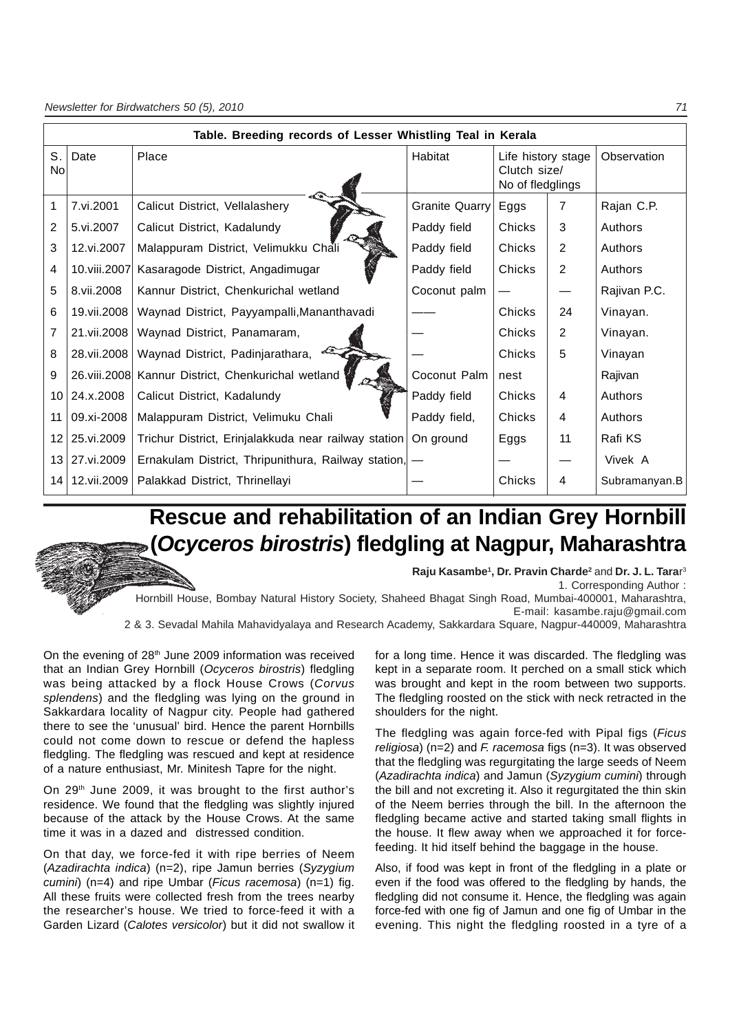| Table. Breeding records of Lesser Whistling Teal in Kerala |              |                                                       |                       |                                                        |                |               |
|------------------------------------------------------------|--------------|-------------------------------------------------------|-----------------------|--------------------------------------------------------|----------------|---------------|
| S.<br><b>No</b>                                            | Date         | Place                                                 | Habitat               | Life history stage<br>Clutch size/<br>No of fledglings |                | Observation   |
| 1                                                          | 7.vi.2001    | Calicut District, Vellalashery                        | <b>Granite Quarry</b> | Eggs                                                   | $\overline{7}$ | Rajan C.P.    |
| 2                                                          | 5.vi.2007    | Calicut District, Kadalundy                           | Paddy field           | <b>Chicks</b>                                          | 3              | Authors       |
| 3                                                          | 12.vi.2007   | Malappuram District, Velimukku Chali                  | Paddy field           | Chicks                                                 | $\overline{2}$ | Authors       |
| 4                                                          | 10.viii.2007 | Kasaragode District, Angadimugar                      | Paddy field           | Chicks                                                 | 2              | Authors       |
| 5                                                          | 8.vii.2008   | Kannur District, Chenkurichal wetland                 | Coconut palm          |                                                        |                | Rajivan P.C.  |
| 6                                                          | 19.vii.2008  | Waynad District, Payyampalli, Mananthavadi            |                       | Chicks                                                 | 24             | Vinayan.      |
| 7                                                          | 21.vii.2008  | Waynad District, Panamaram,                           |                       | Chicks                                                 | 2              | Vinayan.      |
| 8                                                          | 28.vii.2008  | Waynad District, Padinjarathara,                      |                       | Chicks                                                 | 5              | Vinayan       |
| 9                                                          | 26.viii.2008 | Kannur District, Chenkurichal wetland                 | Coconut Palm          | nest                                                   |                | Rajivan       |
| 10 <sub>1</sub>                                            | 24.x.2008    | Calicut District, Kadalundy                           | Paddy field           | Chicks                                                 | 4              | Authors       |
| 11                                                         | 09.xi-2008   | Malappuram District, Velimuku Chali                   | Paddy field,          | Chicks                                                 | 4              | Authors       |
| 12                                                         | 25.vi.2009   | Trichur District, Erinjalakkuda near railway station  | On ground             | Eggs                                                   | 11             | Rafi KS       |
| 13 <sub>1</sub>                                            | 27.vi.2009   | Ernakulam District, Thripunithura, Railway station, - |                       |                                                        |                | Vivek A       |
| 14                                                         | 12.vii.2009  | Palakkad District, Thrinellayi                        |                       | Chicks                                                 | 4              | Subramanyan.B |

## **Rescue and rehabilitation of an Indian Grey Hornbill (***Ocyceros birostris***) fledgling at Nagpur, Maharashtra**

**Raju Kasambe<sup>1</sup>, Dr. Pravin Charde<sup>2</sup> and Dr. J. L. Tarar<sup>3</sup>** 1. Corresponding Author :

Hornbill House, Bombay Natural History Society, Shaheed Bhagat Singh Road, Mumbai-400001, Maharashtra, E-mail: kasambe.raju@gmail.com

2 & 3. Sevadal Mahila Mahavidyalaya and Research Academy, Sakkardara Square, Nagpur-440009, Maharashtra

On the evening of 28<sup>th</sup> June 2009 information was received that an Indian Grey Hornbill (*Ocyceros birostris*) fledgling was being attacked by a flock House Crows (*Corvus splendens*) and the fledgling was lying on the ground in Sakkardara locality of Nagpur city. People had gathered there to see the 'unusual' bird. Hence the parent Hornbills could not come down to rescue or defend the hapless fledgling. The fledgling was rescued and kept at residence of a nature enthusiast, Mr. Minitesh Tapre for the night.

On 29<sup>th</sup> June 2009, it was brought to the first author's residence. We found that the fledgling was slightly injured because of the attack by the House Crows. At the same time it was in a dazed and distressed condition.

On that day, we force-fed it with ripe berries of Neem (*Azadirachta indica*) (n=2), ripe Jamun berries (*Syzygium cumini*) (n=4) and ripe Umbar (*Ficus racemosa*) (n=1) fig. All these fruits were collected fresh from the trees nearby the researcher's house. We tried to force-feed it with a Garden Lizard (*Calotes versicolor*) but it did not swallow it for a long time. Hence it was discarded. The fledgling was kept in a separate room. It perched on a small stick which was brought and kept in the room between two supports. The fledgling roosted on the stick with neck retracted in the shoulders for the night.

The fledgling was again force-fed with Pipal figs (*Ficus religiosa*) (n=2) and *F. racemosa* figs (n=3). It was observed that the fledgling was regurgitating the large seeds of Neem (*Azadirachta indica*) and Jamun (*Syzygium cumini*) through the bill and not excreting it. Also it regurgitated the thin skin of the Neem berries through the bill. In the afternoon the fledgling became active and started taking small flights in the house. It flew away when we approached it for forcefeeding. It hid itself behind the baggage in the house.

Also, if food was kept in front of the fledgling in a plate or even if the food was offered to the fledgling by hands, the fledgling did not consume it. Hence, the fledgling was again force-fed with one fig of Jamun and one fig of Umbar in the evening. This night the fledgling roosted in a tyre of a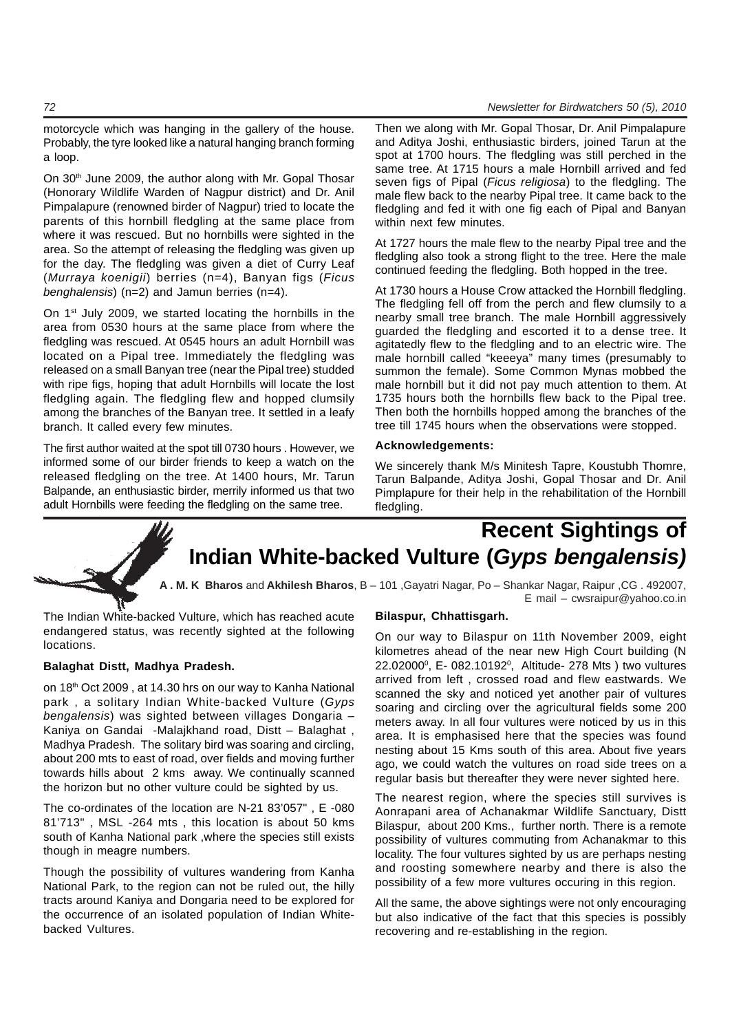### motorcycle which was hanging in the gallery of the house. Probably, the tyre looked like a natural hanging branch forming a loop.

On 30<sup>th</sup> June 2009, the author along with Mr. Gopal Thosar (Honorary Wildlife Warden of Nagpur district) and Dr. Anil Pimpalapure (renowned birder of Nagpur) tried to locate the parents of this hornbill fledgling at the same place from where it was rescued. But no hornbills were sighted in the area. So the attempt of releasing the fledgling was given up for the day. The fledgling was given a diet of Curry Leaf (*Murraya koenigii*) berries (n=4), Banyan figs (*Ficus benghalensis*) (n=2) and Jamun berries (n=4).

On 1<sup>st</sup> July 2009, we started locating the hornbills in the area from 0530 hours at the same place from where the fledgling was rescued. At 0545 hours an adult Hornbill was located on a Pipal tree. Immediately the fledgling was released on a small Banyan tree (near the Pipal tree) studded with ripe figs, hoping that adult Hornbills will locate the lost fledgling again. The fledgling flew and hopped clumsily among the branches of the Banyan tree. It settled in a leafy branch. It called every few minutes.

The first author waited at the spot till 0730 hours . However, we informed some of our birder friends to keep a watch on the released fledgling on the tree. At 1400 hours, Mr. Tarun Balpande, an enthusiastic birder, merrily informed us that two adult Hornbills were feeding the fledgling on the same tree.

Then we along with Mr. Gopal Thosar, Dr. Anil Pimpalapure and Aditya Joshi, enthusiastic birders, joined Tarun at the spot at 1700 hours. The fledgling was still perched in the same tree. At 1715 hours a male Hornbill arrived and fed seven figs of Pipal (*Ficus religiosa*) to the fledgling. The male flew back to the nearby Pipal tree. It came back to the fledgling and fed it with one fig each of Pipal and Banyan within next few minutes.

At 1727 hours the male flew to the nearby Pipal tree and the fledgling also took a strong flight to the tree. Here the male continued feeding the fledgling. Both hopped in the tree.

At 1730 hours a House Crow attacked the Hornbill fledgling. The fledgling fell off from the perch and flew clumsily to a nearby small tree branch. The male Hornbill aggressively guarded the fledgling and escorted it to a dense tree. It agitatedly flew to the fledgling and to an electric wire. The male hornbill called "keeeya" many times (presumably to summon the female). Some Common Mynas mobbed the male hornbill but it did not pay much attention to them. At 1735 hours both the hornbills flew back to the Pipal tree. Then both the hornbills hopped among the branches of the tree till 1745 hours when the observations were stopped.

### **Acknowledgements:**

We sincerely thank M/s Minitesh Tapre, Koustubh Thomre, Tarun Balpande, Aditya Joshi, Gopal Thosar and Dr. Anil Pimplapure for their help in the rehabilitation of the Hornbill fledgling.

# **Recent Sightings of Indian White-backed Vulture (***Gyps bengalensis)*

**A . M. K Bharos** and **Akhilesh Bharos**, B – 101 ,Gayatri Nagar, Po – Shankar Nagar, Raipur ,CG . 492007, E mail – cwsraipur@yahoo.co.in

The Indian White-backed Vulture, which has reached acute endangered status, was recently sighted at the following locations.

### **Balaghat Distt, Madhya Pradesh.**

on 18<sup>th</sup> Oct 2009, at 14.30 hrs on our way to Kanha National park , a solitary Indian White-backed Vulture (*Gyps bengalensis*) was sighted between villages Dongaria – Kaniya on Gandai -Malajkhand road, Distt – Balaghat , Madhya Pradesh. The solitary bird was soaring and circling, about 200 mts to east of road, over fields and moving further towards hills about 2 kms away. We continually scanned the horizon but no other vulture could be sighted by us.

The co-ordinates of the location are N-21 83'057" , E -080 81'713" , MSL -264 mts , this location is about 50 kms south of Kanha National park ,where the species still exists though in meagre numbers.

Though the possibility of vultures wandering from Kanha National Park, to the region can not be ruled out, the hilly tracts around Kaniya and Dongaria need to be explored for the occurrence of an isolated population of Indian Whitebacked Vultures.

### **Bilaspur, Chhattisgarh.**

On our way to Bilaspur on 11th November 2009, eight kilometres ahead of the near new High Court building (N 22.02000°, E- 082.10192°, Altitude- 278 Mts ) two vultures arrived from left , crossed road and flew eastwards. We scanned the sky and noticed yet another pair of vultures soaring and circling over the agricultural fields some 200 meters away. In all four vultures were noticed by us in this area. It is emphasised here that the species was found nesting about 15 Kms south of this area. About five years ago, we could watch the vultures on road side trees on a regular basis but thereafter they were never sighted here.

The nearest region, where the species still survives is Aonrapani area of Achanakmar Wildlife Sanctuary, Distt Bilaspur, about 200 Kms., further north. There is a remote possibility of vultures commuting from Achanakmar to this locality. The four vultures sighted by us are perhaps nesting and roosting somewhere nearby and there is also the possibility of a few more vultures occuring in this region.

All the same, the above sightings were not only encouraging but also indicative of the fact that this species is possibly recovering and re-establishing in the region.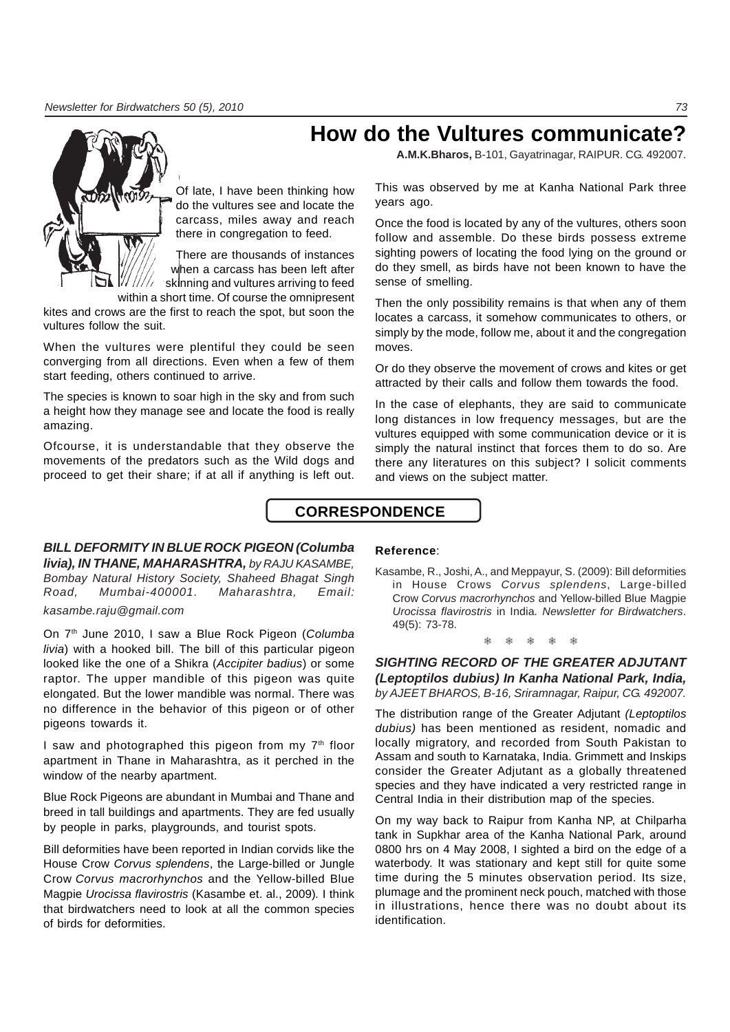**How do the Vultures communicate?**

**A.M.K.Bharos,** B-101, Gayatrinagar, RAIPUR. CG. 492007.

Of late, I have been thinking how do the vultures see and locate the carcass, miles away and reach there in congregation to feed.

There are thousands of instances when a carcass has been left after skinning and vultures arriving to feed

within a short time. Of course the omnipresent kites and crows are the first to reach the spot, but soon the

vultures follow the suit.

When the vultures were plentiful they could be seen converging from all directions. Even when a few of them start feeding, others continued to arrive.

The species is known to soar high in the sky and from such a height how they manage see and locate the food is really amazing.

Ofcourse, it is understandable that they observe the movements of the predators such as the Wild dogs and proceed to get their share; if at all if anything is left out.

This was observed by me at Kanha National Park three years ago.

Once the food is located by any of the vultures, others soon follow and assemble. Do these birds possess extreme sighting powers of locating the food lying on the ground or do they smell, as birds have not been known to have the sense of smelling.

Then the only possibility remains is that when any of them locates a carcass, it somehow communicates to others, or simply by the mode, follow me, about it and the congregation moves.

Or do they observe the movement of crows and kites or get attracted by their calls and follow them towards the food.

In the case of elephants, they are said to communicate long distances in low frequency messages, but are the vultures equipped with some communication device or it is simply the natural instinct that forces them to do so. Are there any literatures on this subject? I solicit comments and views on the subject matter.

## **CORRESPONDENCE**

### *BILL DEFORMITY IN BLUE ROCK PIGEON (Columba livia), IN THANE, MAHARASHTRA, by RAJU KASAMBE, Bombay Natural History Society, Shaheed Bhagat Singh Road, Mumbai-400001. Maharashtra, Email: kasambe.raju@gmail.com*

On 7th June 2010, I saw a Blue Rock Pigeon (*Columba livia*) with a hooked bill. The bill of this particular pigeon looked like the one of a Shikra (*Accipiter badius*) or some raptor. The upper mandible of this pigeon was quite elongated. But the lower mandible was normal. There was no difference in the behavior of this pigeon or of other pigeons towards it.

I saw and photographed this pigeon from my  $7<sup>th</sup>$  floor apartment in Thane in Maharashtra, as it perched in the window of the nearby apartment.

Blue Rock Pigeons are abundant in Mumbai and Thane and breed in tall buildings and apartments. They are fed usually by people in parks, playgrounds, and tourist spots.

Bill deformities have been reported in Indian corvids like the House Crow *Corvus splendens*, the Large-billed or Jungle Crow *Corvus macrorhynchos* and the Yellow-billed Blue Magpie *Urocissa flavirostris* (Kasambe et. al., 2009)*.* I think that birdwatchers need to look at all the common species of birds for deformities.

### **Reference**:

Kasambe, R., Joshi, A., and Meppayur, S. (2009): Bill deformities in House Crows *Corvus splendens*, Large-billed Crow *Corvus macrorhynchos* and Yellow-billed Blue Magpie *Urocissa flavirostris* in India*. Newsletter for Birdwatchers*. 49(5): 73-78.

### ❅ ❅ ❅ ❅ ❅

*SIGHTING RECORD OF THE GREATER ADJUTANT (Leptoptilos dubius) In Kanha National Park, India, by AJEET BHAROS, B-16, Sriramnagar, Raipur, CG. 492007.*

The distribution range of the Greater Adjutant *(Leptoptilos dubius)* has been mentioned as resident, nomadic and locally migratory, and recorded from South Pakistan to Assam and south to Karnataka, India. Grimmett and Inskips consider the Greater Adjutant as a globally threatened species and they have indicated a very restricted range in Central India in their distribution map of the species.

On my way back to Raipur from Kanha NP, at Chilparha tank in Supkhar area of the Kanha National Park, around 0800 hrs on 4 May 2008, I sighted a bird on the edge of a waterbody. It was stationary and kept still for quite some time during the 5 minutes observation period. Its size, plumage and the prominent neck pouch, matched with those in illustrations, hence there was no doubt about its identification.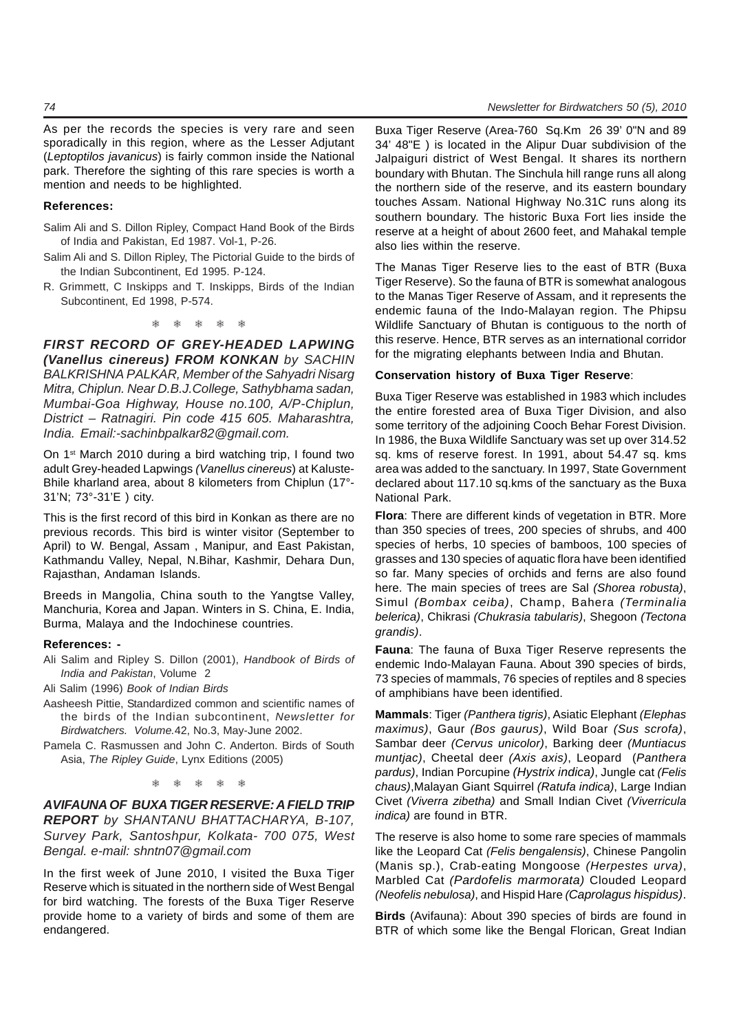### **References:**

- Salim Ali and S. Dillon Ripley, Compact Hand Book of the Birds of India and Pakistan, Ed 1987. Vol-1, P-26.
- Salim Ali and S. Dillon Ripley, The Pictorial Guide to the birds of the Indian Subcontinent, Ed 1995. P-124.
- R. Grimmett, C Inskipps and T. Inskipps, Birds of the Indian Subcontinent, Ed 1998, P-574.

❅ ❅ ❅ ❅ ❅

*FIRST RECORD OF GREY-HEADED LAPWING (Vanellus cinereus) FROM KONKAN by SACHIN BALKRISHNA PALKAR, Member of the Sahyadri Nisarg Mitra, Chiplun. Near D.B.J.College, Sathybhama sadan, Mumbai-Goa Highway, House no.100, A/P-Chiplun, District – Ratnagiri. Pin code 415 605. Maharashtra, India. Email:-sachinbpalkar82@gmail.com.*

On 1st March 2010 during a bird watching trip, I found two adult Grey-headed Lapwings *(Vanellus cinereus*) at Kaluste-Bhile kharland area, about 8 kilometers from Chiplun (17°- 31'N; 73°-31'E ) city*.*

This is the first record of this bird in Konkan as there are no previous records. This bird is winter visitor (September to April) to W. Bengal, Assam , Manipur, and East Pakistan, Kathmandu Valley, Nepal, N.Bihar, Kashmir, Dehara Dun, Rajasthan, Andaman Islands.

Breeds in Mangolia, China south to the Yangtse Valley, Manchuria, Korea and Japan. Winters in S. China, E. India, Burma, Malaya and the Indochinese countries.

### **References: -**

Ali Salim and Ripley S. Dillon (2001), *Handbook of Birds of India and Pakistan*, Volume 2

Ali Salim (1996) *Book of Indian Birds*

- Aasheesh Pittie, Standardized common and scientific names of the birds of the Indian subcontinent, *Newsletter for Birdwatchers. Volume.*42, No.3, May-June 2002.
- Pamela C. Rasmussen and John C. Anderton. Birds of South Asia, *The Ripley Guide*, Lynx Editions (2005)

❅ ❅ ❅ ❅ ❅

*AVIFAUNA OF BUXA TIGER RESERVE: A FIELD TRIP REPORT by SHANTANU BHATTACHARYA, B-107, Survey Park, Santoshpur, Kolkata- 700 075, West Bengal. e-mail: shntn07@gmail.com*

In the first week of June 2010, I visited the Buxa Tiger Reserve which is situated in the northern side of West Bengal for bird watching. The forests of the Buxa Tiger Reserve provide home to a variety of birds and some of them are endangered.

Buxa Tiger Reserve (Area-760 Sq.Km 26 39' 0"N and 89 34' 48"E ) is located in the Alipur Duar subdivision of the Jalpaiguri district of West Bengal. It shares its northern boundary with Bhutan. The Sinchula hill range runs all along the northern side of the reserve, and its eastern boundary touches Assam. National Highway No.31C runs along its southern boundary. The historic Buxa Fort lies inside the reserve at a height of about 2600 feet, and Mahakal temple also lies within the reserve.

The Manas Tiger Reserve lies to the east of BTR (Buxa Tiger Reserve). So the fauna of BTR is somewhat analogous to the Manas Tiger Reserve of Assam, and it represents the endemic fauna of the Indo-Malayan region. The Phipsu Wildlife Sanctuary of Bhutan is contiguous to the north of this reserve. Hence, BTR serves as an international corridor for the migrating elephants between India and Bhutan.

### **Conservation history of Buxa Tiger Reserve**:

Buxa Tiger Reserve was established in 1983 which includes the entire forested area of Buxa Tiger Division, and also some territory of the adjoining Cooch Behar Forest Division. In 1986, the Buxa Wildlife Sanctuary was set up over 314.52 sq. kms of reserve forest. In 1991, about 54.47 sq. kms area was added to the sanctuary. In 1997, State Government declared about 117.10 sq.kms of the sanctuary as the Buxa National Park.

**Flora**: There are different kinds of vegetation in BTR. More than 350 species of trees, 200 species of shrubs, and 400 species of herbs, 10 species of bamboos, 100 species of grasses and 130 species of aquatic flora have been identified so far. Many species of orchids and ferns are also found here. The main species of trees are Sal *(Shorea robusta)*, Simul *(Bombax ceiba)*, Champ, Bahera *(Terminalia belerica)*, Chikrasi *(Chukrasia tabularis)*, Shegoon *(Tectona grandis)*.

**Fauna**: The fauna of Buxa Tiger Reserve represents the endemic Indo-Malayan Fauna. About 390 species of birds, 73 species of mammals, 76 species of reptiles and 8 species of amphibians have been identified.

**Mammals**: Tiger *(Panthera tigris)*, Asiatic Elephant *(Elephas maximus)*, Gaur *(Bos gaurus)*, Wild Boar *(Sus scrofa)*, Sambar deer *(Cervus unicolor)*, Barking deer *(Muntiacus muntjac)*, Cheetal deer *(Axis axis)*, Leopard (*Panthera pardus)*, Indian Porcupine *(Hystrix indica)*, Jungle cat *(Felis chaus)*,Malayan Giant Squirrel *(Ratufa indica)*, Large Indian Civet *(Viverra zibetha)* and Small Indian Civet *(Viverricula indica)* are found in BTR.

The reserve is also home to some rare species of mammals like the Leopard Cat *(Felis bengalensis)*, Chinese Pangolin (Manis sp.), Crab-eating Mongoose *(Herpestes urva)*, Marbled Cat *(Pardofelis marmorata)* Clouded Leopard *(Neofelis nebulosa)*, and Hispid Hare *(Caprolagus hispidus)*.

**Birds** (Avifauna): About 390 species of birds are found in BTR of which some like the Bengal Florican, Great Indian

### *74 Newsletter for Birdwatchers 50 (5), 2010*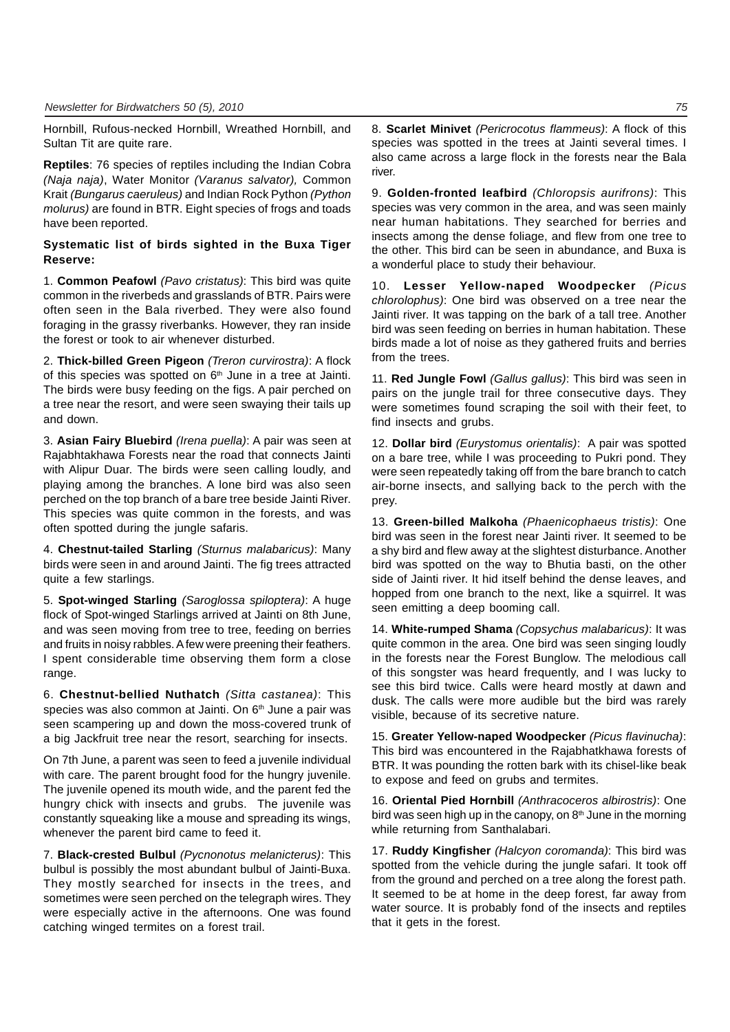Hornbill, Rufous-necked Hornbill, Wreathed Hornbill, and Sultan Tit are quite rare.

**Reptiles**: 76 species of reptiles including the Indian Cobra *(Naja naja)*, Water Monitor *(Varanus salvator),* Common Krait *(Bungarus caeruleus)* and Indian Rock Python *(Python molurus)* are found in BTR. Eight species of frogs and toads have been reported.

### **Systematic list of birds sighted in the Buxa Tiger Reserve:**

1. **Common Peafowl** *(Pavo cristatus)*: This bird was quite common in the riverbeds and grasslands of BTR. Pairs were often seen in the Bala riverbed. They were also found foraging in the grassy riverbanks. However, they ran inside the forest or took to air whenever disturbed.

2. **Thick-billed Green Pigeon** *(Treron curvirostra)*: A flock of this species was spotted on  $6<sup>th</sup>$  June in a tree at Jainti. The birds were busy feeding on the figs. A pair perched on a tree near the resort, and were seen swaying their tails up and down.

3. **Asian Fairy Bluebird** *(Irena puella)*: A pair was seen at Rajabhtakhawa Forests near the road that connects Jainti with Alipur Duar. The birds were seen calling loudly, and playing among the branches. A lone bird was also seen perched on the top branch of a bare tree beside Jainti River. This species was quite common in the forests, and was often spotted during the jungle safaris.

4. **Chestnut-tailed Starling** *(Sturnus malabaricus)*: Many birds were seen in and around Jainti. The fig trees attracted quite a few starlings.

5. **Spot-winged Starling** *(Saroglossa spiloptera)*: A huge flock of Spot-winged Starlings arrived at Jainti on 8th June, and was seen moving from tree to tree, feeding on berries and fruits in noisy rabbles. A few were preening their feathers. I spent considerable time observing them form a close range.

6. **Chestnut-bellied Nuthatch** *(Sitta castanea)*: This species was also common at Jainti. On 6<sup>th</sup> June a pair was seen scampering up and down the moss-covered trunk of a big Jackfruit tree near the resort, searching for insects.

On 7th June, a parent was seen to feed a juvenile individual with care. The parent brought food for the hungry juvenile. The juvenile opened its mouth wide, and the parent fed the hungry chick with insects and grubs. The juvenile was constantly squeaking like a mouse and spreading its wings, whenever the parent bird came to feed it.

7. **Black-crested Bulbul** *(Pycnonotus melanicterus)*: This bulbul is possibly the most abundant bulbul of Jainti-Buxa. They mostly searched for insects in the trees, and sometimes were seen perched on the telegraph wires. They were especially active in the afternoons. One was found catching winged termites on a forest trail.

8. **Scarlet Minivet** *(Pericrocotus flammeus)*: A flock of this species was spotted in the trees at Jainti several times. I also came across a large flock in the forests near the Bala river.

9. **Golden-fronted leafbird** *(Chloropsis aurifrons)*: This species was very common in the area, and was seen mainly near human habitations. They searched for berries and insects among the dense foliage, and flew from one tree to the other. This bird can be seen in abundance, and Buxa is a wonderful place to study their behaviour.

10. **Lesser Yellow-naped Woodpecker** *(Picus chlorolophus)*: One bird was observed on a tree near the Jainti river. It was tapping on the bark of a tall tree. Another bird was seen feeding on berries in human habitation. These birds made a lot of noise as they gathered fruits and berries from the trees.

11. **Red Jungle Fowl** *(Gallus gallus)*: This bird was seen in pairs on the jungle trail for three consecutive days. They were sometimes found scraping the soil with their feet, to find insects and grubs.

12. **Dollar bird** *(Eurystomus orientalis)*: A pair was spotted on a bare tree, while I was proceeding to Pukri pond. They were seen repeatedly taking off from the bare branch to catch air-borne insects, and sallying back to the perch with the prey.

13. **Green-billed Malkoha** *(Phaenicophaeus tristis)*: One bird was seen in the forest near Jainti river. It seemed to be a shy bird and flew away at the slightest disturbance. Another bird was spotted on the way to Bhutia basti, on the other side of Jainti river. It hid itself behind the dense leaves, and hopped from one branch to the next, like a squirrel. It was seen emitting a deep booming call.

14. **White-rumped Shama** *(Copsychus malabaricus)*: It was quite common in the area. One bird was seen singing loudly in the forests near the Forest Bunglow. The melodious call of this songster was heard frequently, and I was lucky to see this bird twice. Calls were heard mostly at dawn and dusk. The calls were more audible but the bird was rarely visible, because of its secretive nature.

15. **Greater Yellow-naped Woodpecker** *(Picus flavinucha)*: This bird was encountered in the Rajabhatkhawa forests of BTR. It was pounding the rotten bark with its chisel-like beak to expose and feed on grubs and termites.

16. **Oriental Pied Hornbill** *(Anthracoceros albirostris)*: One bird was seen high up in the canopy, on  $8<sup>th</sup>$  June in the morning while returning from Santhalabari.

17. **Ruddy Kingfisher** *(Halcyon coromanda)*: This bird was spotted from the vehicle during the jungle safari. It took off from the ground and perched on a tree along the forest path. It seemed to be at home in the deep forest, far away from water source. It is probably fond of the insects and reptiles that it gets in the forest.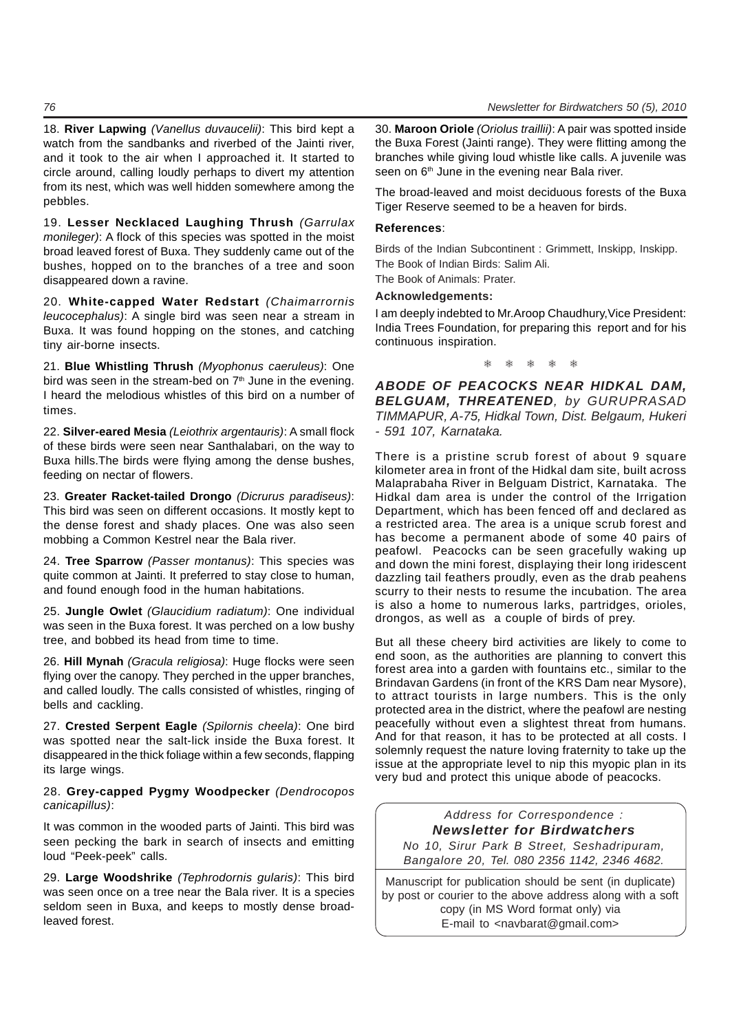18. **River Lapwing** *(Vanellus duvaucelii)*: This bird kept a watch from the sandbanks and riverbed of the Jainti river, and it took to the air when I approached it. It started to circle around, calling loudly perhaps to divert my attention from its nest, which was well hidden somewhere among the pebbles.

19. **Lesser Necklaced Laughing Thrush** *(Garrulax monileger)*: A flock of this species was spotted in the moist broad leaved forest of Buxa. They suddenly came out of the bushes, hopped on to the branches of a tree and soon disappeared down a ravine.

20. **White-capped Water Redstart** *(Chaimarrornis leucocephalus)*: A single bird was seen near a stream in Buxa. It was found hopping on the stones, and catching tiny air-borne insects.

21. **Blue Whistling Thrush** *(Myophonus caeruleus)*: One bird was seen in the stream-bed on  $7<sup>th</sup>$  June in the evening. I heard the melodious whistles of this bird on a number of times.

22. **Silver-eared Mesia** *(Leiothrix argentauris)*: A small flock of these birds were seen near Santhalabari, on the way to Buxa hills.The birds were flying among the dense bushes, feeding on nectar of flowers.

23. **Greater Racket-tailed Drongo** *(Dicrurus paradiseus)*: This bird was seen on different occasions. It mostly kept to the dense forest and shady places. One was also seen mobbing a Common Kestrel near the Bala river.

24. **Tree Sparrow** *(Passer montanus)*: This species was quite common at Jainti. It preferred to stay close to human, and found enough food in the human habitations.

25. **Jungle Owlet** *(Glaucidium radiatum)*: One individual was seen in the Buxa forest. It was perched on a low bushy tree, and bobbed its head from time to time.

26. **Hill Mynah** *(Gracula religiosa)*: Huge flocks were seen flying over the canopy. They perched in the upper branches, and called loudly. The calls consisted of whistles, ringing of bells and cackling.

27. **Crested Serpent Eagle** *(Spilornis cheela)*: One bird was spotted near the salt-lick inside the Buxa forest. It disappeared in the thick foliage within a few seconds, flapping its large wings.

28. **Grey-capped Pygmy Woodpecker** *(Dendrocopos canicapillus)*:

It was common in the wooded parts of Jainti. This bird was seen pecking the bark in search of insects and emitting loud "Peek-peek" calls.

29. **Large Woodshrike** *(Tephrodornis gularis)*: This bird was seen once on a tree near the Bala river. It is a species seldom seen in Buxa, and keeps to mostly dense broadleaved forest.

30. **Maroon Oriole** *(Oriolus traillii)*: A pair was spotted inside the Buxa Forest (Jainti range). They were flitting among the branches while giving loud whistle like calls. A juvenile was seen on 6<sup>th</sup> June in the evening near Bala river.

The broad-leaved and moist deciduous forests of the Buxa Tiger Reserve seemed to be a heaven for birds.

### **References**:

Birds of the Indian Subcontinent : Grimmett, Inskipp, Inskipp. The Book of Indian Birds: Salim Ali.

The Book of Animals: Prater.

### **Acknowledgements:**

I am deeply indebted to Mr.Aroop Chaudhury,Vice President: India Trees Foundation, for preparing this report and for his continuous inspiration.

❅ ❅ ❅ ❅ ❅

*ABODE OF PEACOCKS NEAR HIDKAL DAM, BELGUAM, THREATENED, by GURUPRASAD TIMMAPUR, A-75, Hidkal Town, Dist. Belgaum, Hukeri - 591 107, Karnataka.*

There is a pristine scrub forest of about 9 square kilometer area in front of the Hidkal dam site, built across Malaprabaha River in Belguam District, Karnataka. The Hidkal dam area is under the control of the Irrigation Department, which has been fenced off and declared as a restricted area. The area is a unique scrub forest and has become a permanent abode of some 40 pairs of peafowl. Peacocks can be seen gracefully waking up and down the mini forest, displaying their long iridescent dazzling tail feathers proudly, even as the drab peahens scurry to their nests to resume the incubation. The area is also a home to numerous larks, partridges, orioles, drongos, as well as a couple of birds of prey.

But all these cheery bird activities are likely to come to end soon, as the authorities are planning to convert this forest area into a garden with fountains etc., similar to the Brindavan Gardens (in front of the KRS Dam near Mysore), to attract tourists in large numbers. This is the only protected area in the district, where the peafowl are nesting peacefully without even a slightest threat from humans. And for that reason, it has to be protected at all costs. I solemnly request the nature loving fraternity to take up the issue at the appropriate level to nip this myopic plan in its very bud and protect this unique abode of peacocks.

*Address for Correspondence : Newsletter for Birdwatchers No 10, Sirur Park B Street, Seshadripuram, Bangalore 20, Tel. 080 2356 1142, 2346 4682.*

Manuscript for publication should be sent (in duplicate) by post or courier to the above address along with a soft copy (in MS Word format only) via E-mail to <navbarat@gmail.com>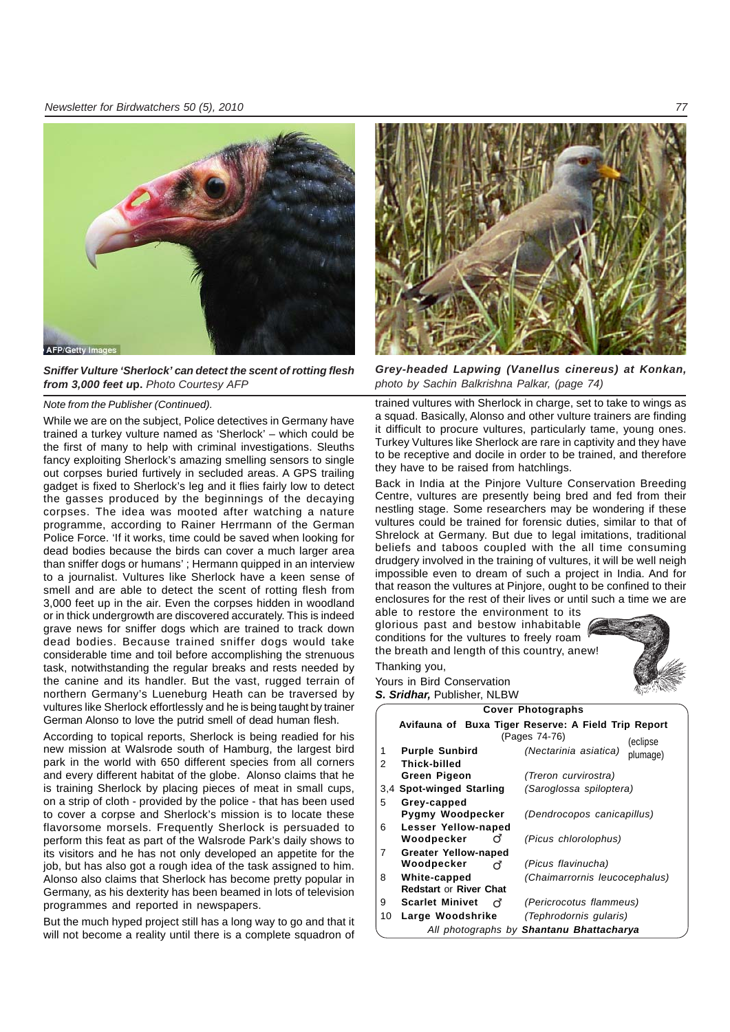

*Sniffer Vulture 'Sherlock' can detect the scent of rotting flesh from 3,000 feet u***p.** *Photo Courtesy AFP*

### *Note from the Publisher (Continued).*

While we are on the subject, Police detectives in Germany have trained a turkey vulture named as 'Sherlock' – which could be the first of many to help with criminal investigations. Sleuths fancy exploiting Sherlock's amazing smelling sensors to single out corpses buried furtively in secluded areas. A GPS trailing gadget is fixed to Sherlock's leg and it flies fairly low to detect the gasses produced by the beginnings of the decaying corpses. The idea was mooted after watching a nature programme, according to Rainer Herrmann of the German Police Force. 'If it works, time could be saved when looking for dead bodies because the birds can cover a much larger area than sniffer dogs or humans' ; Hermann quipped in an interview to a journalist. Vultures like Sherlock have a keen sense of smell and are able to detect the scent of rotting flesh from 3,000 feet up in the air. Even the corpses hidden in woodland or in thick undergrowth are discovered accurately. This is indeed grave news for sniffer dogs which are trained to track down dead bodies. Because trained sniffer dogs would take considerable time and toil before accomplishing the strenuous task, notwithstanding the regular breaks and rests needed by the canine and its handler. But the vast, rugged terrain of northern Germany's Lueneburg Heath can be traversed by vultures like Sherlock effortlessly and he is being taught by trainer German Alonso to love the putrid smell of dead human flesh.

According to topical reports, Sherlock is being readied for his new mission at Walsrode south of Hamburg, the largest bird park in the world with 650 different species from all corners and every different habitat of the globe. Alonso claims that he is training Sherlock by placing pieces of meat in small cups, on a strip of cloth - provided by the police - that has been used to cover a corpse and Sherlock's mission is to locate these flavorsome morsels. Frequently Sherlock is persuaded to perform this feat as part of the Walsrode Park's daily shows to its visitors and he has not only developed an appetite for the job, but has also got a rough idea of the task assigned to him. Alonso also claims that Sherlock has become pretty popular in Germany, as his dexterity has been beamed in lots of television programmes and reported in newspapers.

But the much hyped project still has a long way to go and that it will not become a reality until there is a complete squadron of



*Grey-headed Lapwing (Vanellus cinereus) at Konkan, photo by Sachin Balkrishna Palkar, (page 74)*

trained vultures with Sherlock in charge, set to take to wings as a squad. Basically, Alonso and other vulture trainers are finding it difficult to procure vultures, particularly tame, young ones. Turkey Vultures like Sherlock are rare in captivity and they have to be receptive and docile in order to be trained, and therefore they have to be raised from hatchlings.

Back in India at the Pinjore Vulture Conservation Breeding Centre, vultures are presently being bred and fed from their nestling stage. Some researchers may be wondering if these vultures could be trained for forensic duties, similar to that of Shrelock at Germany. But due to legal imitations, traditional beliefs and taboos coupled with the all time consuming drudgery involved in the training of vultures, it will be well neigh impossible even to dream of such a project in India. And for that reason the vultures at Pinjore, ought to be confined to their enclosures for the rest of their lives or until such a time we are

able to restore the environment to its glorious past and bestow inhabitable conditions for the vultures to freely roam the breath and length of this country, anew! Thanking you,



Yours in Bird Conservation *S. Sridhar,* Publisher, NLBW

|        |                                                                                  | <b>Cover Photographs</b>                 |  |  |  |  |
|--------|----------------------------------------------------------------------------------|------------------------------------------|--|--|--|--|
|        | Avifauna of Buxa Tiger Reserve: A Field Trip Report<br>(Pages 74-76)<br>(eclipse |                                          |  |  |  |  |
| 1<br>2 | <b>Purple Sunbird</b><br>Thick-billed                                            | (Nectarinia asiatica)<br>plumage)        |  |  |  |  |
|        | <b>Green Pigeon</b>                                                              | (Treron curvirostra)                     |  |  |  |  |
|        | 3,4 Spot-winged Starling                                                         | (Saroglossa spiloptera)                  |  |  |  |  |
| 5      | Grey-capped<br>Pygmy Woodpecker                                                  | (Dendrocopos canicapillus)               |  |  |  |  |
| 6      | Lesser Yellow-naped<br>Woodpecker<br>റ്                                          | (Picus chlorolophus)                     |  |  |  |  |
| 7      | <b>Greater Yellow-naped</b>                                                      |                                          |  |  |  |  |
|        | Woodpecker<br>റ്                                                                 | (Picus flavinucha)                       |  |  |  |  |
| 8      | White-capped<br><b>Redstart or River Chat</b>                                    | (Chaimarrornis leucocephalus)            |  |  |  |  |
| 9      | <b>Scarlet Minivet</b><br>റ്                                                     | (Pericrocotus flammeus)                  |  |  |  |  |
| 10     | Large Woodshrike                                                                 | (Tephrodornis gularis)                   |  |  |  |  |
|        |                                                                                  | All photographs by Shantanu Bhattacharya |  |  |  |  |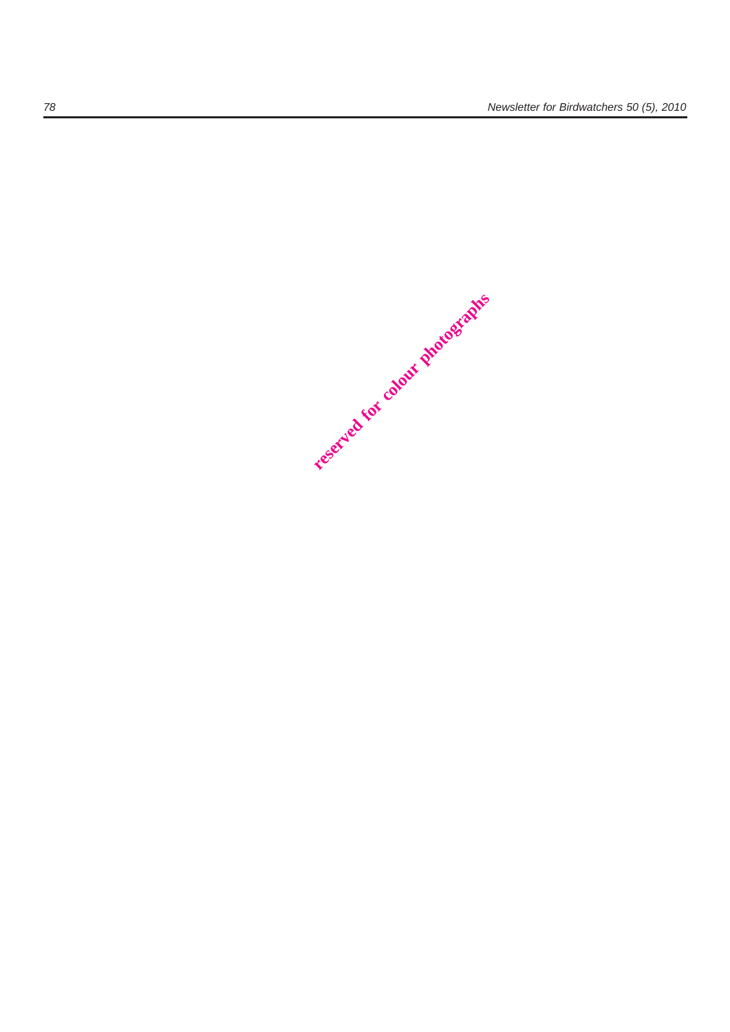